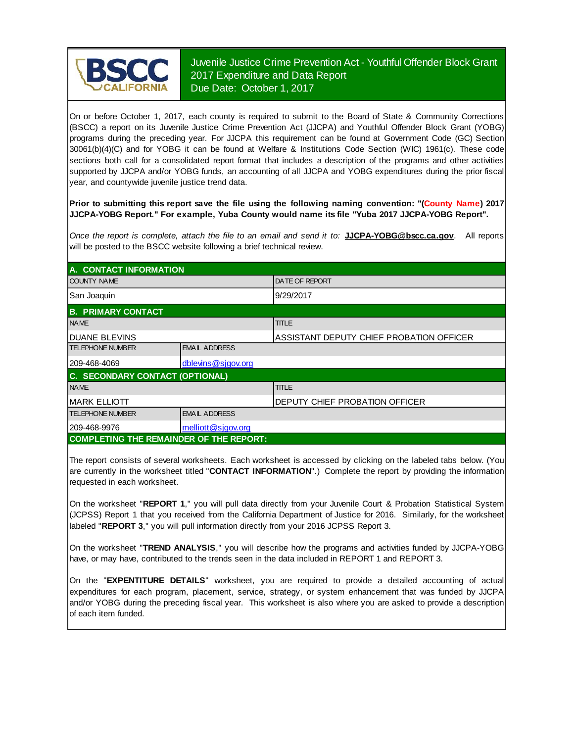

## Juvenile Justice Crime Prevention Act - Youthful Offender Block Grant 2017 Expenditure and Data Report Due Date: October 1, 2017

On or before October 1, 2017, each county is required to submit to the Board of State & Community Corrections (BSCC) <sup>a</sup> report on its Juvenile Justice Crime Prevention Act (JJCPA) and Youthful Offender Block Grant (YOBG) programs during the preceding year. For JJCPA this requirement can be found at Government Code (GC) Section 30061(b)(4)(C) and for YOBG it can be found at Welfare & Institutions Code Section (WIC) 1961(c). These code sections both call for <sup>a</sup> consolidated report format that includes <sup>a</sup> description of the programs and other activities supported by JJCPA and/or YOBG funds, an accounting of all JJCPA and YOBG expenditures during the prior fiscal year, and countywide juvenile justice trend data.

**Prior to submitting this report save the file using the following naming convention: "(County Name) 2017 JJCPA-YOBG Report." For example, Yuba County would name its file "Yuba 2017 JJCPA-YOBG Report".**

*Once the report is complete, attach the file t o an email and send it to:* **JJCPA-YOBG@bscc.ca.gov**. All reports will be posted to the BSCC website following a brief technical review.

| A. CONTACT INFORMATION                         |                      |                                          |  |  |
|------------------------------------------------|----------------------|------------------------------------------|--|--|
| <b>COUNTY NAME</b>                             |                      | <b>IDATE OF REPORT</b>                   |  |  |
| San Joaquin                                    |                      | 9/29/2017                                |  |  |
| <b>B. PRIMARY CONTACT</b>                      |                      |                                          |  |  |
| <b>NAME</b>                                    |                      | <b>TITLE</b>                             |  |  |
| <b>IDUANE BLEVINS</b>                          |                      | ASSISTANT DEPUTY CHIEF PROBATION OFFICER |  |  |
| <b>TELEPHONE NUMBER</b>                        | <b>EMAIL ADDRESS</b> |                                          |  |  |
| 209-468-4069                                   | dblevins@sjgov.org   |                                          |  |  |
| C. SECONDARY CONTACT (OPTIONAL)                |                      |                                          |  |  |
| <b>NAME</b>                                    |                      | <b>TITLE</b>                             |  |  |
| <b>MARK ELLIOTT</b>                            |                      | <b>IDEPUTY CHIEF PROBATION OFFICER</b>   |  |  |
| <b>TELEPHONE NUMBER</b>                        | <b>EMAIL ADDRESS</b> |                                          |  |  |
| 209-468-9976                                   | melliott@sjgov.org   |                                          |  |  |
| <b>COMPLETING THE REMAINDER OF THE REPORT:</b> |                      |                                          |  |  |

The report consists of several worksheets. Each worksheet is accessed by clicking on the labeled tabs below. (You are currently in the worksheet titled "**CONTACT INFORMATION**".) Complete the report by providing the information requested in each worksheet.

On the worksheet "**REPORT 1**, " you will pull data directly from your Juvenile Court & Probation Statistical System (JCPSS) Report 1 that you received from the California Department of Justice for 2016. Similarly, for the worksheet labeled "**REPORT 3**," you will pull information directly from your 2016 JCPSS Report 3.

On the worksheet "**TREND ANALYSIS**, " you will describe how the programs and activities funded by JJCPA-YOBG have, or may have, contributed to the trends seen in the data included in REPORT 1 and REPORT 3.

On the "EXPENTITURE DETAILS" worksheet, you are required to provide a detailed accounting of actual expenditures for each program, placement, service, strategy, or system enhancement that was funded by JJCPA and/or YOBG during the preceding fiscal year. This worksheet is also where you are asked to provide a description of each item funded.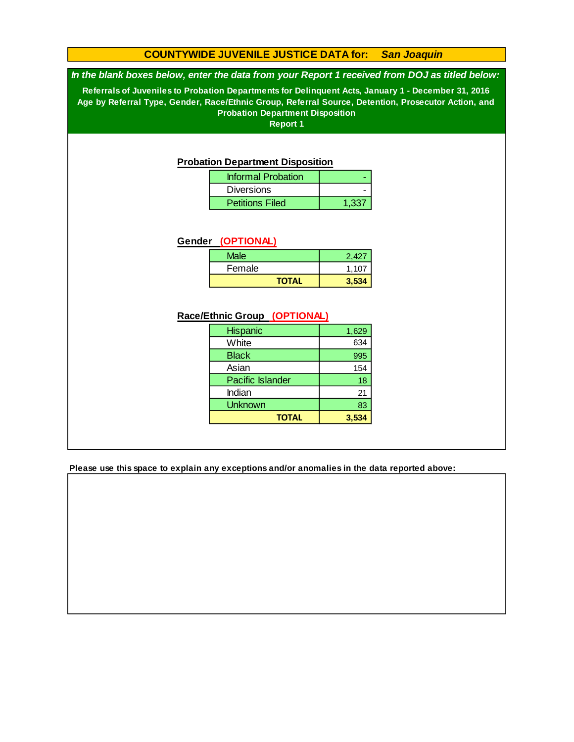## **COUNTYWIDE JUVENILE JUSTICE DATA for:** *San Joaquin*

#### *In the blank boxes below, enter the data from your Report 1 received from DOJ as titled below:*

**Referrals of Juveniles to Probation Departments for Delinquent Acts, January 1 - December 31, 2016 Age by Referral Type, Gender, Race/Ethnic Group, Referral Source, Detention, Prosecutor Action, and Probation Department Disposition**

**Report 1**

#### **Probation Department Disposition**

| <b>Informal Probation</b> |       |
|---------------------------|-------|
| <b>Diversions</b>         |       |
| <b>Petitions Filed</b>    | 1.337 |

#### **Gender (OPTIONAL)**

| <b>Male</b>  | 2,427 |
|--------------|-------|
| Female       | 1.107 |
| <b>TOTAL</b> | 3,534 |

#### **Race/Ethnic Group (OPTIONAL)**

| <b>Hispanic</b>         | 1,629 |
|-------------------------|-------|
| White                   | 634   |
| <b>Black</b>            | 995   |
| Asian                   | 154   |
| <b>Pacific Islander</b> | 18    |
| Indian                  | 21    |
| Unknown                 | 83    |
| <b>TOTAL</b>            | 3,534 |

**Please use this space to explain any exceptions and/or anomalies in the data reported above:**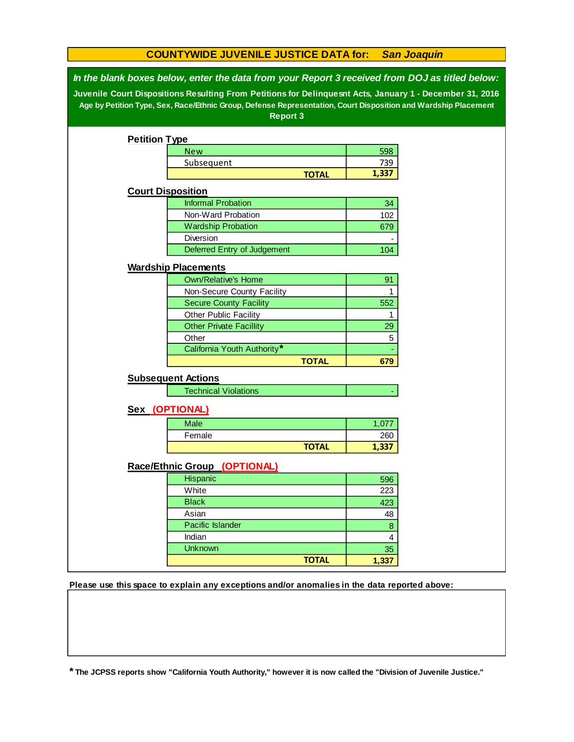## **COUNTYWIDE JUVENILE JUSTICE DATA for:** *San Joaquin*

*In the blank boxes below, enter the data from your Report 3 received from DOJ as titled below:*

**Juvenile Court Dispositions Resulting From Petitions for Delinquesnt Acts, January 1 - December 31, 2016 Age by Petition Type, Sex, Race/Ethnic Group, Defense Representation, Court Disposition and Wardship Placement Report 3**

|                          | <b>Petition Type</b>           |              |                |
|--------------------------|--------------------------------|--------------|----------------|
|                          | <b>New</b>                     |              | 598            |
|                          | Subsequent                     |              | 739            |
|                          |                                | <b>TOTAL</b> | 1,337          |
| <b>Court Disposition</b> |                                |              |                |
|                          | <b>Informal Probation</b>      |              | 34             |
|                          | Non-Ward Probation             |              | 102            |
|                          | <b>Wardship Probation</b>      |              | 679            |
|                          | Diversion                      |              |                |
|                          | Deferred Entry of Judgement    |              | 104            |
|                          | <b>Wardship Placements</b>     |              |                |
|                          | <b>Own/Relative's Home</b>     |              | 91             |
|                          | Non-Secure County Facility     |              | $\mathbf{1}$   |
|                          | <b>Secure County Facility</b>  |              | 552            |
|                          | Other Public Facility          |              | 1              |
|                          | <b>Other Private Facillity</b> |              | 29             |
|                          | Other                          |              | 5              |
|                          | California Youth Authority*    |              |                |
|                          |                                | <b>TOTAL</b> | 679            |
|                          | <b>Subsequent Actions</b>      |              |                |
|                          | <b>Technical Violations</b>    |              |                |
| Sex (OPTIONAL)           |                                |              |                |
|                          |                                |              |                |
|                          | Male                           |              | 1,077          |
|                          | Female                         |              | 260            |
|                          |                                | <b>TOTAL</b> | 1,337          |
|                          | Race/Ethnic Group (OPTIONAL)   |              |                |
|                          | Hispanic                       |              | 596            |
|                          |                                |              | 223            |
|                          | White                          |              |                |
|                          | <b>Black</b>                   |              | 423            |
|                          | Asian                          |              | 48             |
|                          | Pacific Islander               |              | $\bf{8}$       |
|                          | Indian                         |              | $\overline{4}$ |
|                          | <b>Unknown</b>                 | <b>TOTAL</b> | 35             |

**Please use this space to explain any exceptions and/or anomalies in the data reported above:** 

**\* The JCPSS reports show "California Youth Authority," however it is now called the "Division of Juvenile Justice."**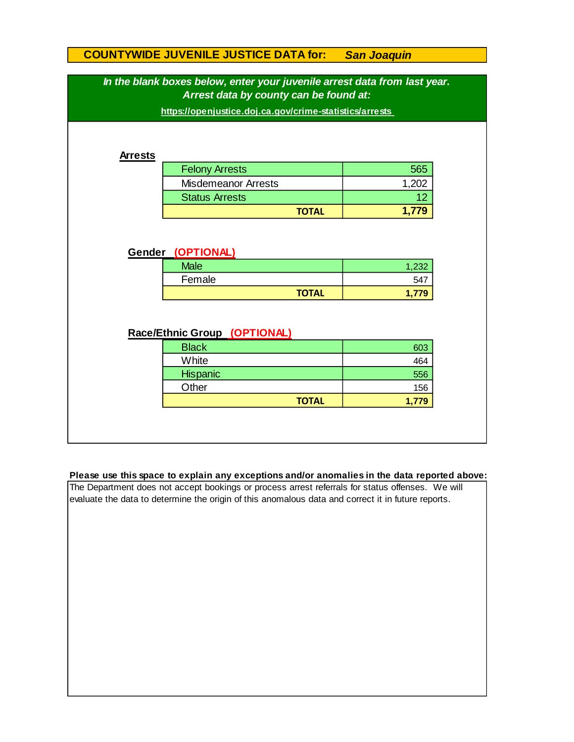# **COUNTYWIDE JUVENILE JUSTICE DATA for:** *San Joaquin*

|                | In the blank boxes below, enter your juvenile arrest data from last year.<br>Arrest data by county can be found at:<br>https://openjustice.doj.ca.gov/crime-statistics/arrests |                       |  |  |  |  |  |
|----------------|--------------------------------------------------------------------------------------------------------------------------------------------------------------------------------|-----------------------|--|--|--|--|--|
| <b>Arrests</b> |                                                                                                                                                                                |                       |  |  |  |  |  |
|                | <b>Felony Arrests</b>                                                                                                                                                          | 565                   |  |  |  |  |  |
|                | <b>Misdemeanor Arrests</b>                                                                                                                                                     | 1,202                 |  |  |  |  |  |
|                | <b>Status Arrests</b>                                                                                                                                                          | 12                    |  |  |  |  |  |
|                |                                                                                                                                                                                | 1,779<br><b>TOTAL</b> |  |  |  |  |  |
| Gender         | (OPTIONAL)<br><b>Male</b>                                                                                                                                                      | 1,232                 |  |  |  |  |  |
|                | Female                                                                                                                                                                         | 547                   |  |  |  |  |  |
|                |                                                                                                                                                                                | <b>TOTAL</b><br>1,779 |  |  |  |  |  |
|                | Race/Ethnic Group (OPTIONAL)                                                                                                                                                   |                       |  |  |  |  |  |
|                | <b>Black</b>                                                                                                                                                                   | 603                   |  |  |  |  |  |
|                | White                                                                                                                                                                          | 464                   |  |  |  |  |  |
|                | <b>Hispanic</b>                                                                                                                                                                | 556                   |  |  |  |  |  |
|                | Other                                                                                                                                                                          | 156                   |  |  |  |  |  |
|                |                                                                                                                                                                                | <b>TOTAL</b><br>1,779 |  |  |  |  |  |

#### **Please use this space to explain any exceptions and/or anomalies in the data reported above:**

The Department does not accept bookings or process arrest referrals for status offenses. We will evaluate the data to determine the origin of this anomalous data and correct it in future reports.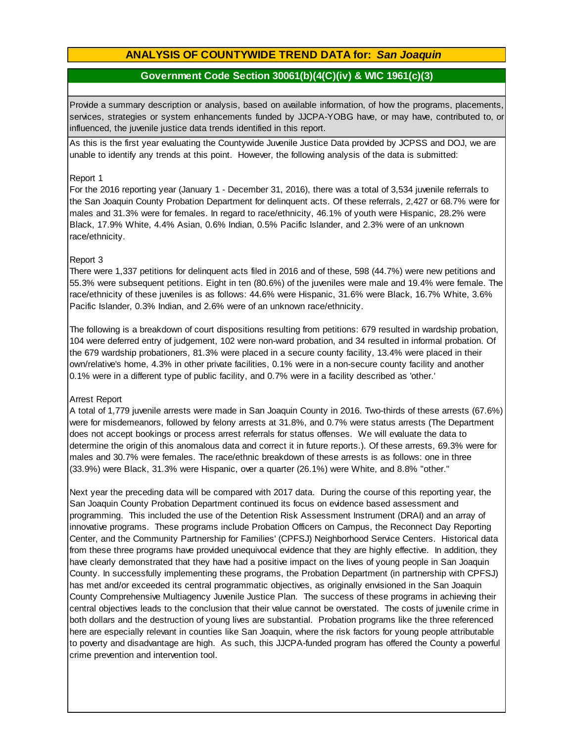# **ANALYSIS OF COUNTYWIDE TREND DATA for:** *San Joaquin*

## **Government Code Section 30061(b)(4(C)(iv) & WIC 1961(c)(3)**

Provide <sup>a</sup> summary description or analysis, based on available information, of how the programs, placements, services, strategies or system enhancements funded by JJCPA-YOBG have, or may have, contributed to, or influenced, the juvenile justice data trends identified in this report.

As this is the first year evaluating the Countywide Juvenile Justice Data provided by JCPSS and DOJ, we are unable to identify any trends at this point. However, the following analysis of the data is submitted:

#### Report 1

For the 2016 reporting year (January 1 - December 31, 2016), there was a total of 3,534 juvenile referrals to the San Joaquin County Probation Department for delinquent acts. Of these referrals, 2,427 or 68.7% were for males and 31.3% were for females. In regard to race/ethnicity, 46.1% of youth were Hispanic, 28.2% were Black, 17.9% White, 4.4% Asian, 0.6% Indian, 0.5% Pacific Islander, and 2.3% were of an unknown race/ethnicity.

#### Report 3

There were 1,337 petitions for delinquent acts filed in 2016 and of these, 598 (44.7%) were new petitions and 55.3% were subsequent petitions. Eight in ten (80.6%) of the juveniles were male and 19.4% were female. The race/ethnicity of these juveniles is as follows: 44.6% were Hispanic, 31.6% were Black, 16.7% White, 3.6% Pacific Islander, 0.3% Indian, and 2.6% were of an unknown race/ethnicity.

The following is a breakdown of court dispositions resulting from petitions: 679 resulted in wardship probation, 104 were deferred entry of judgement, 102 were non-ward probation, and 34 resulted in informal probation. Of the 679 wardship probationers, 81.3% were placed in a secure county facility, 13.4% were placed in their own/relative's home, 4.3% in other private facilities, 0.1% were in a non-secure county facility and another 0.1% were in a different type of public facility, and 0.7% were in a facility described as 'other.'

#### Arrest Report

A total of 1,779 juvenile arrests were made in San Joaquin County in 2016. Two-thirds of these arrests (67.6%) were for misdemeanors, followed by felony arrests at 31.8%, and 0.7% were status arrests (The Department does not accept bookings or process arrest referrals for status offenses. We will evaluate the data to determine the origin of this anomalous data and correct it in future reports.). Of these arrests, 69.3% were for males and 30.7% were females. The race/ethnic breakdown of these arrests is as follows: one in three (33.9%) were Black, 31.3% were Hispanic, over a quarter (26.1%) were White, and 8.8% "other."

Next year the preceding data will be compared with 2017 data. During the course of this reporting year, the San Joaquin County Probation Department continued its focus on evidence based assessment and programming. This included the use of the Detention Risk Assessment Instrument (DRAI) and an array of innovative programs. These programs include Probation Officers on Campus, the Reconnect Day Reporting Center, and the Community Partnership for Families' (CPFSJ) Neighborhood Service Centers. Historical data from these three programs have provided unequivocal evidence that they are highly effective. In addition, they have clearly demonstrated that they have had a positive impact on the lives of young people in San Joaquin County. In successfully implementing these programs, the Probation Department (in partnership with CPFSJ) has met and/or exceeded its central programmatic objectives, as originally envisioned in the San Joaquin County Comprehensive Multiagency Juvenile Justice Plan. The success of these programs in achieving their central objectives leads to the conclusion that their value cannot be overstated. The costs of juvenile crime in both dollars and the destruction of young lives are substantial. Probation programs like the three referenced here are especially relevant in counties like San Joaquin, where the risk factors for young people attributable to poverty and disadvantage are high. As such, this JJCPA-funded program has offered the County a powerful crime prevention and intervention tool.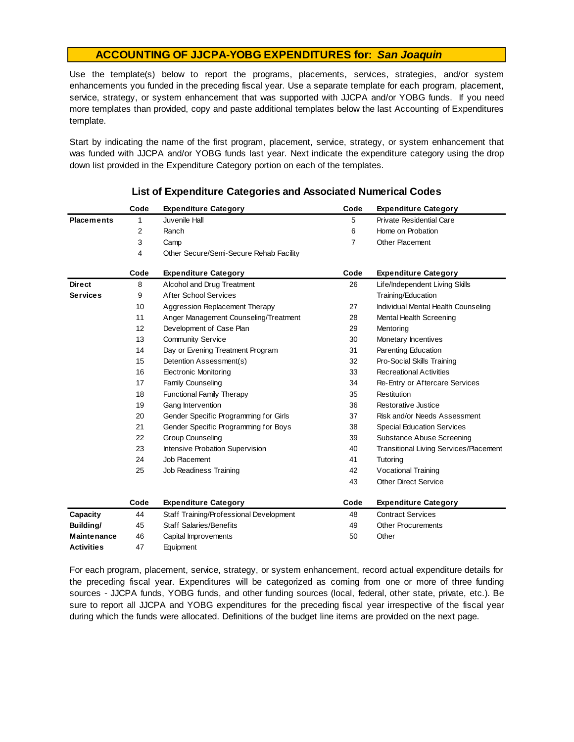Use the template(s) below to report the programs, placements, services, strategies, and/or system enhancements you funded in the preceding fiscal year. Use <sup>a</sup> separate template for each program, placement, service, strategy, or system enhancement that was supported with JJCPA and/or YOBG funds. If you need more templates than provided, copy and paste additional templates below the last Accounting of Expenditures template.

Start by indicating the name of the first program, placement, service, strategy, or system enhancement that was funded with JJCPA and/or YOBG funds last year. Next indicate the expenditure category using the drop down list provided in the Expenditure Category portion on each of the templates.

|                    | Code | <b>Expenditure Category</b>             | Code | <b>Expenditure Category</b>                   |
|--------------------|------|-----------------------------------------|------|-----------------------------------------------|
| <b>Placements</b>  | 1    | Juvenile Hall                           | 5    | Private Residential Care                      |
|                    | 2    | Ranch                                   | 6    | Home on Probation                             |
|                    | 3    | Camp                                    | 7    | <b>Other Placement</b>                        |
|                    | 4    | Other Secure/Semi-Secure Rehab Facility |      |                                               |
|                    | Code | <b>Expenditure Category</b>             | Code | <b>Expenditure Category</b>                   |
| <b>Direct</b>      | 8    | Alcohol and Drug Treatment              | 26   | Life/Independent Living Skills                |
| <b>Services</b>    | 9    | <b>After School Services</b>            |      | Training/Education                            |
|                    | 10   | Aggression Replacement Therapy          | 27   | Individual Mental Health Counseling           |
|                    | 11   | Anger Management Counseling/Treatment   | 28   | Mental Health Screening                       |
|                    | 12   | Development of Case Plan                | 29   | Mentoring                                     |
|                    | 13   | <b>Community Service</b>                | 30   | Monetary Incentives                           |
|                    | 14   | Day or Evening Treatment Program        | 31   | Parenting Education                           |
|                    | 15   | Detention Assessment(s)                 | 32   | Pro-Social Skills Training                    |
|                    | 16   | <b>Electronic Monitoring</b>            | 33   | <b>Recreational Activities</b>                |
|                    | 17   | Family Counseling                       | 34   | Re-Entry or Aftercare Services                |
|                    | 18   | <b>Functional Family Therapy</b>        | 35   | Restitution                                   |
|                    | 19   | Gang Intervention                       | 36   | Restorative Justice                           |
|                    | 20   | Gender Specific Programming for Girls   | 37   | Risk and/or Needs Assessment                  |
|                    | 21   | Gender Specific Programming for Boys    | 38   | <b>Special Education Services</b>             |
|                    | 22   | <b>Group Counseling</b>                 | 39   | Substance Abuse Screening                     |
|                    | 23   | Intensive Probation Supervision         | 40   | <b>Transitional Living Services/Placement</b> |
|                    | 24   | Job Placement                           | 41   | Tutoring                                      |
|                    | 25   | Job Readiness Training                  | 42   | <b>Vocational Training</b>                    |
|                    |      |                                         | 43   | <b>Other Direct Service</b>                   |
|                    | Code | <b>Expenditure Category</b>             | Code | <b>Expenditure Category</b>                   |
| Capacity           | 44   | Staff Training/Professional Development | 48   | <b>Contract Services</b>                      |
| Building/          | 45   | <b>Staff Salaries/Benefits</b>          | 49   | <b>Other Procurements</b>                     |
| <b>Maintenance</b> | 46   | Capital Improvements                    | 50   | Other                                         |
| <b>Activities</b>  | 47   | Equipment                               |      |                                               |
|                    |      |                                         |      |                                               |

#### **List of Expenditure Categories and Associated Numerical Codes**

For each program, placement, service, strategy, or system enhancement, record actual expenditure details for the preceding fiscal year. Expenditures will be categorized as coming from one or more of three funding sources - JJCPA funds, YOBG funds, and other funding sources (local, federal, other state, private, etc.). Be sure to report all JJCPA and YOBG expenditures for the preceding fiscal year irrespective of the fiscal year during which the funds were allocated. Definitions of the budget line items are provided on the next page.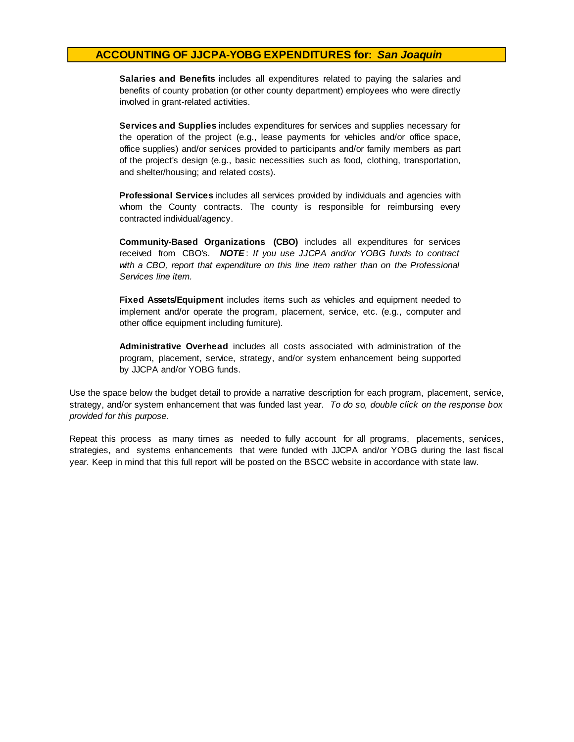**Salaries and Benefits** includes all expenditures related to paving the salaries and benefits of county probation (or other county department) employees who were directly involved in grant-related activities.

**Services and Supplies** includes expenditures for services and supplies necessary for the operation of the project (e.g., lease payments for vehicles and/or office space, office supplies) and/or services provided to participants and/or family members as part of the project's design (e.g., basic necessities such as food, clothing, transportation, and shelter/housing; and related costs).

**Professional Services** includes all services provided by individuals and agencies with whom the County contracts. The county is responsible for reimbursing every contracted individual/agency.

**Community-Based Organizations (CBO)** includes all expenditures for services received from CBO's. *NOTE* : *I f you use JJCPA and/or YOBG funds t o contract with <sup>a</sup> CBO, report that expenditure on this line item rather than on the Professional Services line item.*

**Fixed Assets/Equipment** includes items such as vehicles and equipment needed to implement and/or operate the program, placement, service, etc. (e.g., computer and other office equipment including furniture).

**Administrative Overhead** includes all costs associated with administration of the program, placement, service, strategy, and/or system enhancement being supported by JJCPA and/or YOBG funds.

Use the space below the budget detail to provide a narrative description for each program, placement, service, strategy, and/or system enhancement that was funded last year. *To do so, double click on the response box provided for this purpose.* 

Repeat this process as many times as needed to fully account for all programs, placements, services, strategies, and systems enhancements that were funded with JJCPA and/or YOBG during the last fiscal year. Keep in mind that this full report will be posted on the BSCC website in accordance with state law.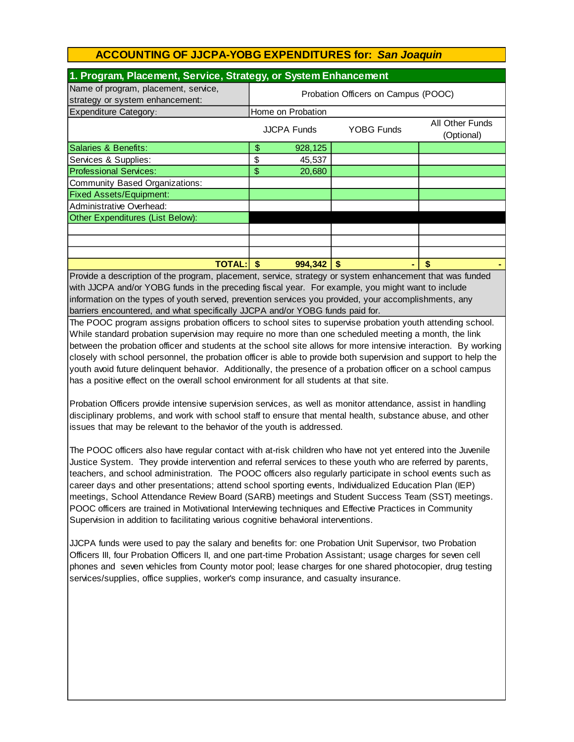| 1. Program, Placement, Service, Strategy, or System Enhancement         |                                     |                    |                   |                                                                 |  |  |
|-------------------------------------------------------------------------|-------------------------------------|--------------------|-------------------|-----------------------------------------------------------------|--|--|
| Name of program, placement, service,<br>strategy or system enhancement: | Probation Officers on Campus (POOC) |                    |                   |                                                                 |  |  |
| <b>Expenditure Category:</b>                                            | Home on Probation                   |                    |                   |                                                                 |  |  |
|                                                                         |                                     | <b>JJCPA Funds</b> | <b>YOBG Funds</b> | All Other Funds<br>(Optional)                                   |  |  |
| Salaries & Benefits:                                                    | \$                                  | 928,125            |                   |                                                                 |  |  |
| Services & Supplies:                                                    | \$                                  | 45,537             |                   |                                                                 |  |  |
| <b>Professional Services:</b>                                           | \$                                  | 20,680             |                   |                                                                 |  |  |
| Community Based Organizations:                                          |                                     |                    |                   |                                                                 |  |  |
| <b>Fixed Assets/Equipment:</b>                                          |                                     |                    |                   |                                                                 |  |  |
| Administrative Overhead:                                                |                                     |                    |                   |                                                                 |  |  |
| Other Expenditures (List Below):                                        |                                     |                    |                   |                                                                 |  |  |
|                                                                         |                                     |                    |                   |                                                                 |  |  |
|                                                                         |                                     |                    |                   |                                                                 |  |  |
|                                                                         |                                     |                    |                   |                                                                 |  |  |
| <b>TOTAL: \$</b>                                                        |                                     | 994,342            |                   | $\mathbf{r}$ and $\mathbf{r}$ and $\mathbf{r}$ and $\mathbf{r}$ |  |  |

Provide a description of the program, placement, service, strategy or system enhancement that was funded with JJCPA and/or YOBG funds in the preceding fiscal year. For example, you might want to include information on the types of youth served, prevention services you provided, your accomplishments, any barriers encountered, and what specifically JJCPA and/or YOBG funds paid for.

The POOC program assigns probation officers to school sites to supervise probation youth attending school. While standard probation supervision may require no more than one scheduled meeting a month, the link between the probation officer and students at the school site allows for more intensive interaction. By working closely with school personnel, the probation officer is able to provide both supervision and support to help the youth avoid future delinquent behavior. Additionally, the presence of a probation officer on a school campus has a positive effect on the overall school environment for all students at that site.

Probation Officers provide intensive supervision services, as well as monitor attendance, assist in handling disciplinary problems, and work with school staff to ensure that mental health, substance abuse, and other issues that may be relevant to the behavior of the youth is addressed.

The POOC officers also have regular contact with at-risk children who have not yet entered into the Juvenile Justice System. They provide intervention and referral services to these youth who are referred by parents, teachers, and school administration. The POOC officers also regularly participate in school events such as career days and other presentations; attend school sporting events, Individualized Education Plan (IEP) meetings, School Attendance Review Board (SARB) meetings and Student Success Team (SST) meetings. POOC officers are trained in Motivational Interviewing techniques and Effective Practices in Community Supervision in addition to facilitating various cognitive behavioral interventions.

JJCPA funds were used to pay the salary and benefits for: one Probation Unit Supervisor, two Probation Officers III, four Probation Officers II, and one part-time Probation Assistant; usage charges for seven cell phones and seven vehicles from County motor pool; lease charges for one shared photocopier, drug testing services/supplies, office supplies, worker's comp insurance, and casualty insurance.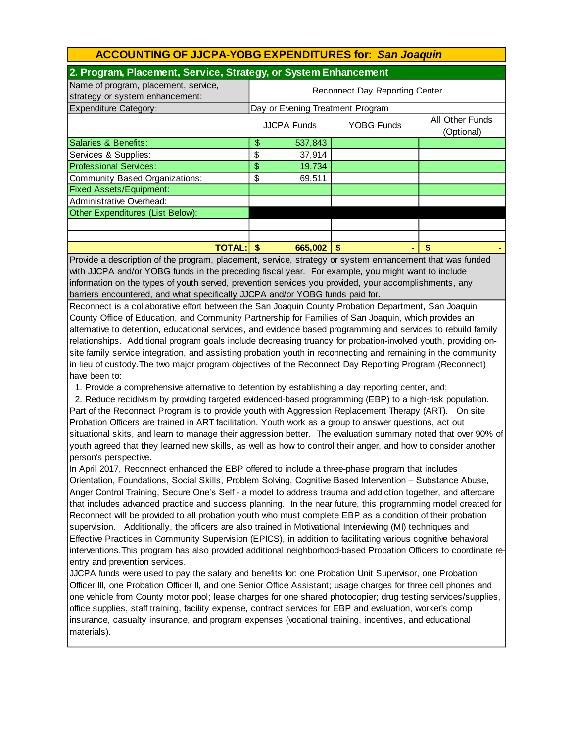| 2. Program, Placement, Service, Strategy, or System Enhancement         |                                                                          |         |      |    |  |  |
|-------------------------------------------------------------------------|--------------------------------------------------------------------------|---------|------|----|--|--|
| Name of program, placement, service,<br>strategy or system enhancement: | <b>Reconnect Day Reporting Center</b>                                    |         |      |    |  |  |
| Expenditure Category:                                                   | Day or Evening Treatment Program                                         |         |      |    |  |  |
|                                                                         | All Other Funds<br><b>YOBG Funds</b><br><b>JJCPA Funds</b><br>(Optional) |         |      |    |  |  |
| Salaries & Benefits:                                                    | \$                                                                       | 537,843 |      |    |  |  |
| Services & Supplies:                                                    | \$                                                                       | 37,914  |      |    |  |  |
| <b>Professional Services:</b>                                           | \$                                                                       | 19,734  |      |    |  |  |
| Community Based Organizations:                                          | \$                                                                       | 69,511  |      |    |  |  |
| <b>Fixed Assets/Equipment:</b>                                          |                                                                          |         |      |    |  |  |
| Administrative Overhead:                                                |                                                                          |         |      |    |  |  |
| Other Expenditures (List Below):                                        |                                                                          |         |      |    |  |  |
|                                                                         |                                                                          |         |      |    |  |  |
|                                                                         |                                                                          |         |      |    |  |  |
| <b>TOTAL:</b>                                                           |                                                                          | 665,002 | - \$ | \$ |  |  |

Provide a description of the program, placement, service, strategy or system enhancement that was funded with JJCPA and/or YOBG funds in the preceding fiscal year. For example, you might want to include information on the types of youth served, prevention services you provided, your accomplishments, any barriers encountered, and what specifically JJCPA and/or YOBG funds paid for.

Reconnect is a collaborative effort between the San Joaquin County Probation Department, San Joaquin County Office of Education, and Community Partnership for Families of San Joaquin, which provides an alternative to detention, educational services, and evidence based programming and services to rebuild family relationships. Additional program goals include decreasing truancy for probation-involved youth, providing onsite family service integration, and assisting probation youth in reconnecting and remaining in the community in lieu of custody.The two major program objectives of the Reconnect Day Reporting Program (Reconnect) have been to:

1. Provide a comprehensive alternative to detention by establishing a day reporting center, and;

 2. Reduce recidivism by providing targeted evidenced-based programming (EBP) to a high-risk population. Part of the Reconnect Program is to provide youth with Aggression Replacement Therapy (ART). On site Probation Officers are trained in ART facilitation. Youth work as a group to answer questions, act out situational skits, and learn to manage their aggression better. The evaluation summary noted that over 90% of youth agreed that they learned new skills, as well as how to control their anger, and how to consider another person's perspective.

In April 2017, Reconnect enhanced the EBP offered to include a three-phase program that includes Orientation, Foundations, Social Skills, Problem Solving, Cognitive Based Intervention – Substance Abuse, Anger Control Training, Secure One's Self - a model to address trauma and addiction together, and aftercare that includes advanced practice and success planning. In the near future, this programming model created for Reconnect will be provided to all probation youth who must complete EBP as a condition of their probation supervision. Additionally, the officers are also trained in Motivational Interviewing (MI) techniques and Effective Practices in Community Supervision (EPICS), in addition to facilitating various cognitive behavioral interventions.This program has also provided additional neighborhood-based Probation Officers to coordinate reentry and prevention services.

JJCPA funds were used to pay the salary and benefits for: one Probation Unit Supervisor, one Probation Officer III, one Probation Officer II, and one Senior Office Assistant; usage charges for three cell phones and one vehicle from County motor pool; lease charges for one shared photocopier; drug testing services/supplies, office supplies, staff training, facility expense, contract services for EBP and evaluation, worker's comp insurance, casualty insurance, and program expenses (vocational training, incentives, and educational materials).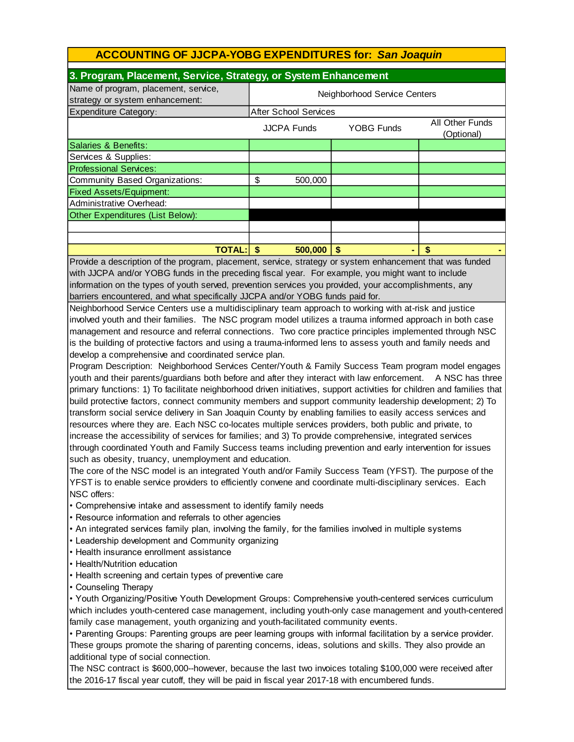| 3. Program, Placement, Service, Strategy, or System Enhancement                                       |                  |                              |                    |                   |                               |  |  |
|-------------------------------------------------------------------------------------------------------|------------------|------------------------------|--------------------|-------------------|-------------------------------|--|--|
| Name of program, placement, service,<br>strategy or system enhancement:                               |                  | Neighborhood Service Centers |                    |                   |                               |  |  |
| <b>Expenditure Category:</b>                                                                          |                  | <b>After School Services</b> |                    |                   |                               |  |  |
|                                                                                                       |                  |                              | <b>JJCPA Funds</b> | <b>YOBG Funds</b> | All Other Funds<br>(Optional) |  |  |
| Salaries & Benefits:                                                                                  |                  |                              |                    |                   |                               |  |  |
| Services & Supplies:                                                                                  |                  |                              |                    |                   |                               |  |  |
| Professional Services:                                                                                |                  |                              |                    |                   |                               |  |  |
| Community Based Organizations:                                                                        |                  | \$                           | 500,000            |                   |                               |  |  |
| <b>Fixed Assets/Equipment:</b>                                                                        |                  |                              |                    |                   |                               |  |  |
| Administrative Overhead:                                                                              |                  |                              |                    |                   |                               |  |  |
| Other Expenditures (List Below):                                                                      |                  |                              |                    |                   |                               |  |  |
|                                                                                                       |                  |                              |                    |                   |                               |  |  |
|                                                                                                       |                  |                              |                    |                   |                               |  |  |
|                                                                                                       | <b>TOTAL: \$</b> |                              | 500,000            | - \$              | \$                            |  |  |
| Provide a description of the program placement service strategy or system ephancement that was funded |                  |                              |                    |                   |                               |  |  |

rovide a description of the program, placement, service, strategy or system enhancement that was fun' with JJCPA and/or YOBG funds in the preceding fiscal year. For example, you might want to include information on the types of youth served, prevention services you provided, your accomplishments, any barriers encountered, and what specifically JJCPA and/or YOBG funds paid for.

Neighborhood Service Centers use a multidisciplinary team approach to working with at-risk and justice involved youth and their families. The NSC program model utilizes a trauma informed approach in both case management and resource and referral connections. Two core practice principles implemented through NSC is the building of protective factors and using a trauma-informed lens to assess youth and family needs and develop a comprehensive and coordinated service plan.

Program Description: Neighborhood Services Center/Youth & Family Success Team program model engages youth and their parents/guardians both before and after they interact with law enforcement. A NSC has three primary functions: 1) To facilitate neighborhood driven initiatives, support activities for children and families that build protective factors, connect community members and support community leadership development; 2) To transform social service delivery in San Joaquin County by enabling families to easily access services and resources where they are. Each NSC co-locates multiple services providers, both public and private, to increase the accessibility of services for families; and 3) To provide comprehensive, integrated services through coordinated Youth and Family Success teams including prevention and early intervention for issues such as obesity, truancy, unemployment and education.

The core of the NSC model is an integrated Youth and/or Family Success Team (YFST). The purpose of the YFST is to enable service providers to efficiently convene and coordinate multi-disciplinary services. Each NSC offers:

• Comprehensive intake and assessment to identify family needs

• Resource information and referrals to other agencies

• An integrated services family plan, involving the family, for the families involved in multiple systems

• Leadership development and Community organizing

• Health insurance enrollment assistance

• Health/Nutrition education

• Health screening and certain types of preventive care

• Counseling Therapy

• Youth Organizing/Positive Youth Development Groups: Comprehensive youth-centered services curriculum which includes youth-centered case management, including youth-only case management and youth-centered family case management, youth organizing and youth-facilitated community events.

• Parenting Groups: Parenting groups are peer learning groups with informal facilitation by a service provider. These groups promote the sharing of parenting concerns, ideas, solutions and skills. They also provide an additional type of social connection.

The NSC contract is \$600,000--however, because the last two invoices totaling \$100,000 were received after the 2016-17 fiscal year cutoff, they will be paid in fiscal year 2017-18 with encumbered funds.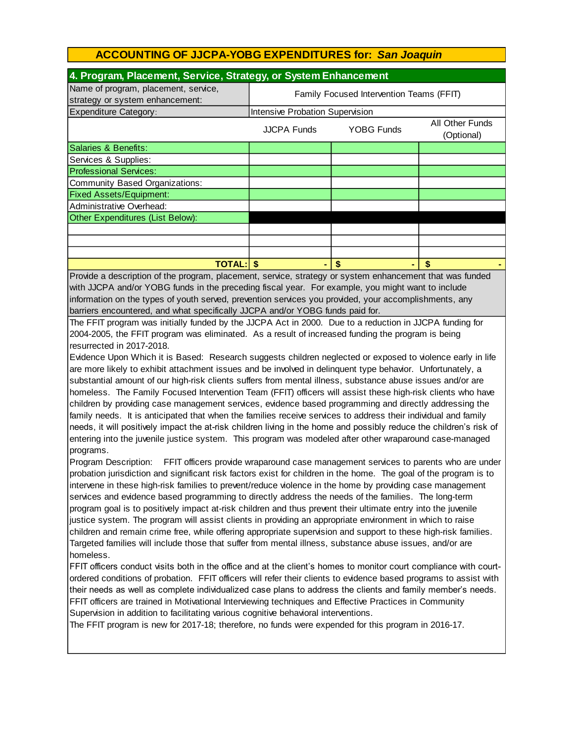| 4. Program, Placement, Service, Strategy, or System Enhancement         |                                          |                   |                               |  |  |  |
|-------------------------------------------------------------------------|------------------------------------------|-------------------|-------------------------------|--|--|--|
| Name of program, placement, service,<br>strategy or system enhancement: | Family Focused Intervention Teams (FFIT) |                   |                               |  |  |  |
| <b>Expenditure Category:</b>                                            | Intensive Probation Supervision          |                   |                               |  |  |  |
|                                                                         | <b>JJCPA Funds</b>                       | <b>YOBG Funds</b> | All Other Funds<br>(Optional) |  |  |  |
| Salaries & Benefits:                                                    |                                          |                   |                               |  |  |  |
| Services & Supplies:                                                    |                                          |                   |                               |  |  |  |
| <b>Professional Services:</b>                                           |                                          |                   |                               |  |  |  |
| Community Based Organizations:                                          |                                          |                   |                               |  |  |  |
| <b>Fixed Assets/Equipment:</b>                                          |                                          |                   |                               |  |  |  |
| Administrative Overhead:                                                |                                          |                   |                               |  |  |  |
| Other Expenditures (List Below):                                        |                                          |                   |                               |  |  |  |
|                                                                         |                                          |                   |                               |  |  |  |
|                                                                         |                                          |                   |                               |  |  |  |
|                                                                         |                                          |                   |                               |  |  |  |
| <b>TOTAL:</b><br>$\mathbf{B}$ and the set of a set of a set of the set  |                                          |                   |                               |  |  |  |

Provide a description of the program, placement, service, strategy or system enhancement that was funded with JJCPA and/or YOBG funds in the preceding fiscal year. For example, you might want to include information on the types of youth served, prevention services you provided, your accomplishments, any barriers encountered, and what specifically JJCPA and/or YOBG funds paid for.

The FFIT program was initially funded by the JJCPA Act in 2000. Due to a reduction in JJCPA funding for 2004-2005, the FFIT program was eliminated. As a result of increased funding the program is being resurrected in 2017-2018.

Evidence Upon Which it is Based: Research suggests children neglected or exposed to violence early in life are more likely to exhibit attachment issues and be involved in delinquent type behavior. Unfortunately, a substantial amount of our high-risk clients suffers from mental illness, substance abuse issues and/or are homeless. The Family Focused Intervention Team (FFIT) officers will assist these high-risk clients who have children by providing case management services, evidence based programming and directly addressing the family needs. It is anticipated that when the families receive services to address their individual and family needs, it will positively impact the at-risk children living in the home and possibly reduce the children's risk of entering into the juvenile justice system. This program was modeled after other wraparound case-managed programs.

Program Description: FFIT officers provide wraparound case management services to parents who are under probation jurisdiction and significant risk factors exist for children in the home. The goal of the program is to intervene in these high-risk families to prevent/reduce violence in the home by providing case management services and evidence based programming to directly address the needs of the families. The long-term program goal is to positively impact at-risk children and thus prevent their ultimate entry into the juvenile justice system. The program will assist clients in providing an appropriate environment in which to raise children and remain crime free, while offering appropriate supervision and support to these high-risk families. Targeted families will include those that suffer from mental illness, substance abuse issues, and/or are homeless.

FFIT officers conduct visits both in the office and at the client's homes to monitor court compliance with courtordered conditions of probation. FFIT officers will refer their clients to evidence based programs to assist with their needs as well as complete individualized case plans to address the clients and family member's needs. FFIT officers are trained in Motivational Interviewing techniques and Effective Practices in Community Supervision in addition to facilitating various cognitive behavioral interventions.

The FFIT program is new for 2017-18; therefore, no funds were expended for this program in 2016-17.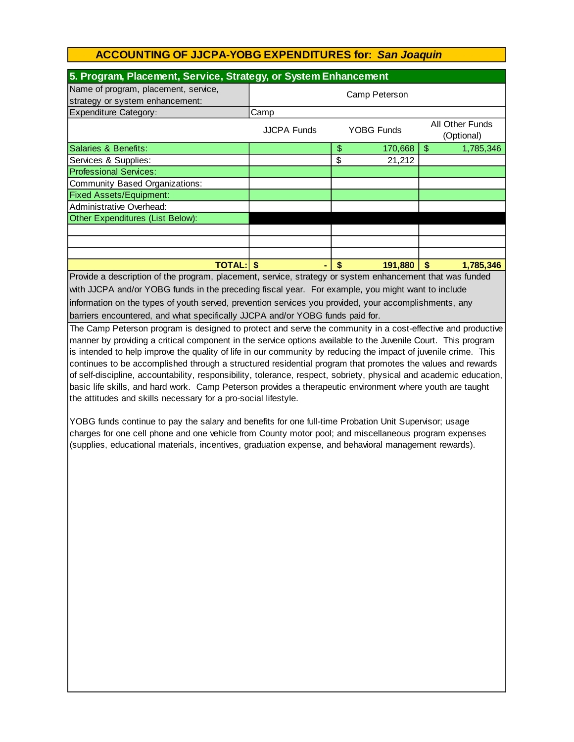| 5. Program, Placement, Service, Strategy, or System Enhancement                                          |                    |    |                   |                           |                               |  |  |
|----------------------------------------------------------------------------------------------------------|--------------------|----|-------------------|---------------------------|-------------------------------|--|--|
| Name of program, placement, service,<br>strategy or system enhancement:                                  | Camp Peterson      |    |                   |                           |                               |  |  |
| <b>Expenditure Category:</b>                                                                             | Camp               |    |                   |                           |                               |  |  |
|                                                                                                          | <b>JJCPA Funds</b> |    | <b>YOBG Funds</b> |                           | All Other Funds<br>(Optional) |  |  |
| Salaries & Benefits:                                                                                     |                    | \$ | 170,668           | \$                        | 1,785,346                     |  |  |
| Services & Supplies:                                                                                     |                    | \$ | 21,212            |                           |                               |  |  |
| <b>Professional Services:</b>                                                                            |                    |    |                   |                           |                               |  |  |
| Community Based Organizations:                                                                           |                    |    |                   |                           |                               |  |  |
| <b>Fixed Assets/Equipment:</b>                                                                           |                    |    |                   |                           |                               |  |  |
| Administrative Overhead:                                                                                 |                    |    |                   |                           |                               |  |  |
| Other Expenditures (List Below):                                                                         |                    |    |                   |                           |                               |  |  |
|                                                                                                          |                    |    |                   |                           |                               |  |  |
|                                                                                                          |                    |    |                   |                           |                               |  |  |
|                                                                                                          |                    |    |                   |                           |                               |  |  |
| <b>TOTAL: \$</b>                                                                                         | ۰                  | \$ | 191,880           | $\boldsymbol{\mathsf{s}}$ | 1,785,346                     |  |  |
| Provide a description of the program, placement, service, strategy or system enhancement that was funded |                    |    |                   |                           |                               |  |  |

barriers encountered, and what specifically JJCPA and/or YOBG funds paid for. Provide a description of the program, placement, service, strategy or system enhancement that was funded with JJCPA and/or YOBG funds in the preceding fiscal year. For example, you might want to include information on the types of youth served, prevention services you provided, your accomplishments, any

The Camp Peterson program is designed to protect and serve the community in a cost-effective and productive manner by providing a critical component in the service options available to the Juvenile Court. This program is intended to help improve the quality of life in our community by reducing the impact of juvenile crime. This continues to be accomplished through a structured residential program that promotes the values and rewards of self-discipline, accountability, responsibility, tolerance, respect, sobriety, physical and academic education, basic life skills, and hard work. Camp Peterson provides a therapeutic environment where youth are taught the attitudes and skills necessary for a pro-social lifestyle.

YOBG funds continue to pay the salary and benefits for one full-time Probation Unit Supervisor; usage charges for one cell phone and one vehicle from County motor pool; and miscellaneous program expenses (supplies, educational materials, incentives, graduation expense, and behavioral management rewards).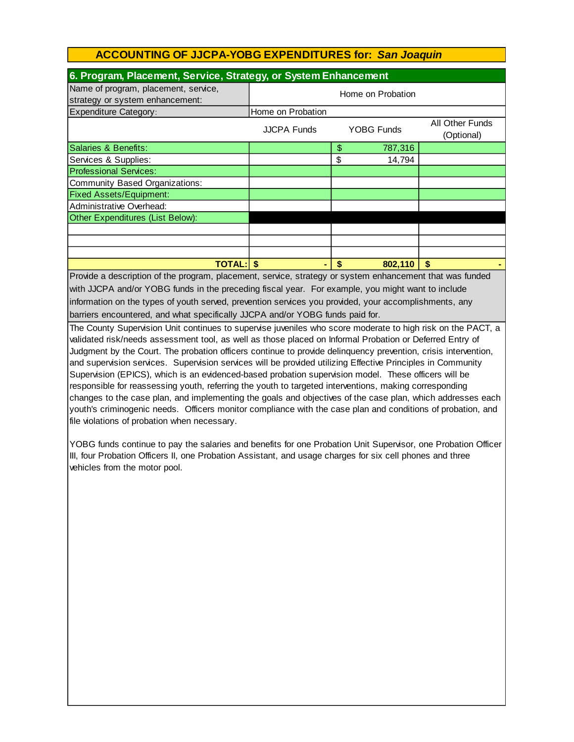| 6. Program, Placement, Service, Strategy, or System Enhancement                                          |                   |    |            |                               |  |  |
|----------------------------------------------------------------------------------------------------------|-------------------|----|------------|-------------------------------|--|--|
| Name of program, placement, service,<br>strategy or system enhancement:                                  | Home on Probation |    |            |                               |  |  |
| <b>Expenditure Category:</b>                                                                             | Home on Probation |    |            |                               |  |  |
|                                                                                                          | JJCPA Funds       |    | YOBG Funds | All Other Funds<br>(Optional) |  |  |
| Salaries & Benefits:                                                                                     |                   | \$ | 787,316    |                               |  |  |
| Services & Supplies:                                                                                     |                   | \$ | 14,794     |                               |  |  |
| <b>Professional Services:</b>                                                                            |                   |    |            |                               |  |  |
| <b>Community Based Organizations:</b>                                                                    |                   |    |            |                               |  |  |
| <b>Fixed Assets/Equipment:</b>                                                                           |                   |    |            |                               |  |  |
| Administrative Overhead:                                                                                 |                   |    |            |                               |  |  |
| Other Expenditures (List Below):                                                                         |                   |    |            |                               |  |  |
|                                                                                                          |                   |    |            |                               |  |  |
|                                                                                                          |                   |    |            |                               |  |  |
|                                                                                                          |                   |    |            |                               |  |  |
| <b>TOTAL: \$</b>                                                                                         | ۰                 | \$ | 802,110    | \$                            |  |  |
| Provide a description of the program, placement, service, strategy or system enhancement that was funded |                   |    |            |                               |  |  |

barriers encountered, and what specifically JJCPA and/or YOBG funds paid for. with JJCPA and/or YOBG funds in the preceding fiscal year. For example, you might want to include information on the types of youth served, prevention services you provided, your accomplishments, any

The County Supervision Unit continues to supervise juveniles who score moderate to high risk on the PACT, a validated risk/needs assessment tool, as well as those placed on Informal Probation or Deferred Entry of Judgment by the Court. The probation officers continue to provide delinquency prevention, crisis intervention, and supervision services. Supervision services will be provided utilizing Effective Principles in Community Supervision (EPICS), which is an evidenced-based probation supervision model. These officers will be responsible for reassessing youth, referring the youth to targeted interventions, making corresponding changes to the case plan, and implementing the goals and objectives of the case plan, which addresses each youth's criminogenic needs. Officers monitor compliance with the case plan and conditions of probation, and file violations of probation when necessary.

YOBG funds continue to pay the salaries and benefits for one Probation Unit Supervisor, one Probation Officer III, four Probation Officers II, one Probation Assistant, and usage charges for six cell phones and three vehicles from the motor pool.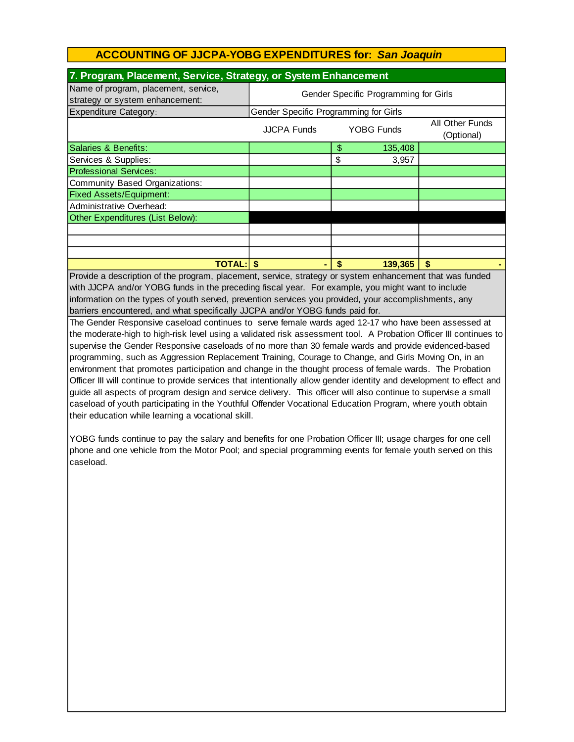| 7. Program, Placement, Service, Strategy, or System Enhancement                                          |                                       |    |                   |                               |  |  |  |
|----------------------------------------------------------------------------------------------------------|---------------------------------------|----|-------------------|-------------------------------|--|--|--|
| Name of program, placement, service,<br>strategy or system enhancement:                                  | Gender Specific Programming for Girls |    |                   |                               |  |  |  |
| <b>Expenditure Category:</b>                                                                             | Gender Specific Programming for Girls |    |                   |                               |  |  |  |
|                                                                                                          | <b>JJCPA Funds</b>                    |    | <b>YOBG Funds</b> | All Other Funds<br>(Optional) |  |  |  |
| Salaries & Benefits:                                                                                     |                                       | \$ | 135,408           |                               |  |  |  |
| Services & Supplies:                                                                                     |                                       | \$ | 3,957             |                               |  |  |  |
| <b>Professional Services:</b>                                                                            |                                       |    |                   |                               |  |  |  |
| Community Based Organizations:                                                                           |                                       |    |                   |                               |  |  |  |
| <b>Fixed Assets/Equipment:</b>                                                                           |                                       |    |                   |                               |  |  |  |
| Administrative Overhead:                                                                                 |                                       |    |                   |                               |  |  |  |
| Other Expenditures (List Below):                                                                         |                                       |    |                   |                               |  |  |  |
|                                                                                                          |                                       |    |                   |                               |  |  |  |
|                                                                                                          |                                       |    |                   |                               |  |  |  |
|                                                                                                          |                                       |    |                   |                               |  |  |  |
| <b>TOTAL:IS</b>                                                                                          |                                       | -S | 139,365           | \$                            |  |  |  |
| $Druidq, q$ description of the program, placement, senice strategy or system ophaneoment that was funded |                                       |    |                   |                               |  |  |  |

information on the types of youth served, prevention services you provided, your accomplishments, any Provide a description of the program, placement, service, strategy or system enhancement that was funded with JJCPA and/or YOBG funds in the preceding fiscal year. For example, you might want to include barriers encountered, and what specifically JJCPA and/or YOBG funds paid for.

The Gender Responsive caseload continues to serve female wards aged 12-17 who have been assessed at the moderate-high to high-risk level using a validated risk assessment tool. A Probation Officer III continues to supervise the Gender Responsive caseloads of no more than 30 female wards and provide evidenced-based programming, such as Aggression Replacement Training, Courage to Change, and Girls Moving On, in an environment that promotes participation and change in the thought process of female wards. The Probation Officer III will continue to provide services that intentionally allow gender identity and development to effect and guide all aspects of program design and service delivery. This officer will also continue to supervise a small caseload of youth participating in the Youthful Offender Vocational Education Program, where youth obtain their education while learning a vocational skill.

YOBG funds continue to pay the salary and benefits for one Probation Officer III; usage charges for one cell phone and one vehicle from the Motor Pool; and special programming events for female youth served on this caseload.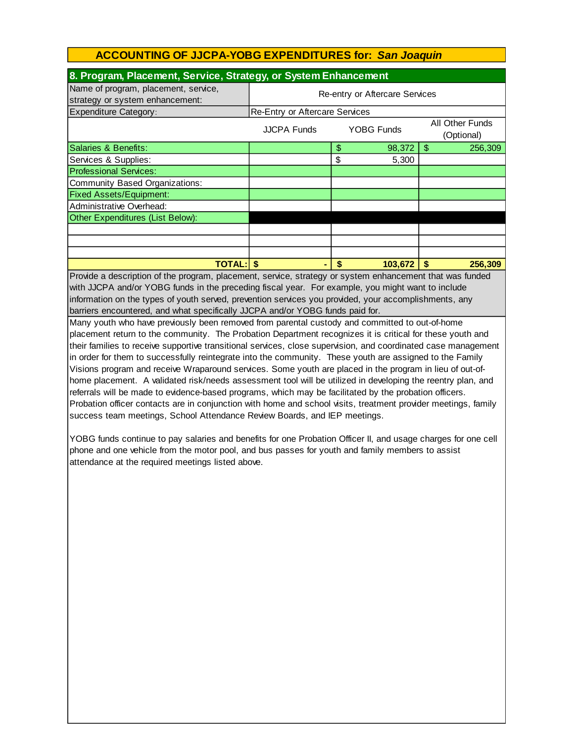| 8. Program, Placement, Service, Strategy, or System Enhancement                                                |                                                                          |    |         |    |         |  |
|----------------------------------------------------------------------------------------------------------------|--------------------------------------------------------------------------|----|---------|----|---------|--|
| Name of program, placement, service,<br>strategy or system enhancement:                                        | Re-entry or Aftercare Services                                           |    |         |    |         |  |
| Expenditure Category:                                                                                          | Re-Entry or Aftercare Services                                           |    |         |    |         |  |
|                                                                                                                | All Other Funds<br><b>YOBG Funds</b><br><b>JJCPA Funds</b><br>(Optional) |    |         |    |         |  |
| Salaries & Benefits:                                                                                           |                                                                          | \$ | 98,372  | \$ | 256,309 |  |
| Services & Supplies:                                                                                           |                                                                          | \$ | 5,300   |    |         |  |
| <b>Professional Services:</b>                                                                                  |                                                                          |    |         |    |         |  |
| <b>Community Based Organizations:</b>                                                                          |                                                                          |    |         |    |         |  |
| <b>Fixed Assets/Equipment:</b>                                                                                 |                                                                          |    |         |    |         |  |
| Administrative Overhead:                                                                                       |                                                                          |    |         |    |         |  |
| Other Expenditures (List Below):                                                                               |                                                                          |    |         |    |         |  |
|                                                                                                                |                                                                          |    |         |    |         |  |
|                                                                                                                |                                                                          |    |         |    |         |  |
|                                                                                                                |                                                                          |    |         |    |         |  |
| $TOTAL:$ $$$                                                                                                   | ۰                                                                        | \$ | 103,672 | \$ | 256,309 |  |
| Provide a description of the program, placement, service, strategy or system enhancement that was funded       |                                                                          |    |         |    |         |  |
| with JJCPA and/or YOBG funds in the preceding fiscal year. For example, you might want to include              |                                                                          |    |         |    |         |  |
| information on the types of youth served, prevention services you provided, your accomplishments, any          |                                                                          |    |         |    |         |  |
| barriers encountered, and what specifically JJCPA and/or YOBG funds paid for.                                  |                                                                          |    |         |    |         |  |
| Many youth who have previously been removed from parental custody and committed to out-of-home                 |                                                                          |    |         |    |         |  |
| placement return to the community. The Probation Department recognizes it is critical for these youth and      |                                                                          |    |         |    |         |  |
| their families to receive supportive transitional services, close supervision, and coordinated case management |                                                                          |    |         |    |         |  |
| in order for them to successfully reintegrate into the community. These youth are assigned to the Eamily       |                                                                          |    |         |    |         |  |

in order for them to successfully reintegrate into the community. These youth are assigned to the Family Visions program and receive Wraparound services. Some youth are placed in the program in lieu of out-ofhome placement. A validated risk/needs assessment tool will be utilized in developing the reentry plan, and referrals will be made to evidence-based programs, which may be facilitated by the probation officers. Probation officer contacts are in conjunction with home and school visits, treatment provider meetings, family success team meetings, School Attendance Review Boards, and IEP meetings.

YOBG funds continue to pay salaries and benefits for one Probation Officer II, and usage charges for one cell phone and one vehicle from the motor pool, and bus passes for youth and family members to assist attendance at the required meetings listed above.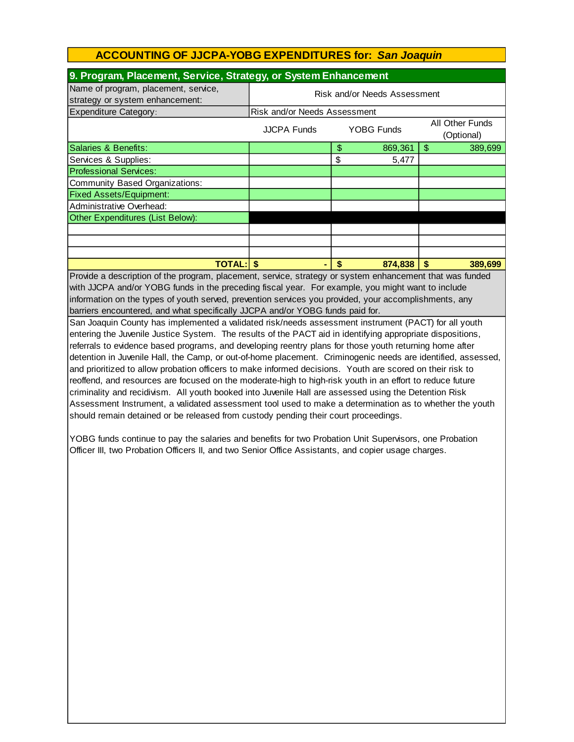| 9. Program, Placement, Service, Strategy, or System Enhancement                                                                                                                                                                                                                                                                                                                                                                                                                                                                                                                                                                                                                                                                                                                                                                                                                                                                                                                                                                                                                                                                                                                                                                                                                                                                                                                                                                                                                                                                                                                                                                    |                                                                          |    |         |                 |  |  |
|------------------------------------------------------------------------------------------------------------------------------------------------------------------------------------------------------------------------------------------------------------------------------------------------------------------------------------------------------------------------------------------------------------------------------------------------------------------------------------------------------------------------------------------------------------------------------------------------------------------------------------------------------------------------------------------------------------------------------------------------------------------------------------------------------------------------------------------------------------------------------------------------------------------------------------------------------------------------------------------------------------------------------------------------------------------------------------------------------------------------------------------------------------------------------------------------------------------------------------------------------------------------------------------------------------------------------------------------------------------------------------------------------------------------------------------------------------------------------------------------------------------------------------------------------------------------------------------------------------------------------------|--------------------------------------------------------------------------|----|---------|-----------------|--|--|
| Name of program, placement, service,                                                                                                                                                                                                                                                                                                                                                                                                                                                                                                                                                                                                                                                                                                                                                                                                                                                                                                                                                                                                                                                                                                                                                                                                                                                                                                                                                                                                                                                                                                                                                                                               | Risk and/or Needs Assessment                                             |    |         |                 |  |  |
| strategy or system enhancement:                                                                                                                                                                                                                                                                                                                                                                                                                                                                                                                                                                                                                                                                                                                                                                                                                                                                                                                                                                                                                                                                                                                                                                                                                                                                                                                                                                                                                                                                                                                                                                                                    |                                                                          |    |         |                 |  |  |
| <b>Expenditure Category:</b>                                                                                                                                                                                                                                                                                                                                                                                                                                                                                                                                                                                                                                                                                                                                                                                                                                                                                                                                                                                                                                                                                                                                                                                                                                                                                                                                                                                                                                                                                                                                                                                                       | Risk and/or Needs Assessment                                             |    |         |                 |  |  |
|                                                                                                                                                                                                                                                                                                                                                                                                                                                                                                                                                                                                                                                                                                                                                                                                                                                                                                                                                                                                                                                                                                                                                                                                                                                                                                                                                                                                                                                                                                                                                                                                                                    | All Other Funds<br><b>JJCPA Funds</b><br><b>YOBG Funds</b><br>(Optional) |    |         |                 |  |  |
| Salaries & Benefits:                                                                                                                                                                                                                                                                                                                                                                                                                                                                                                                                                                                                                                                                                                                                                                                                                                                                                                                                                                                                                                                                                                                                                                                                                                                                                                                                                                                                                                                                                                                                                                                                               |                                                                          | \$ | 869,361 | l \$<br>389,699 |  |  |
| Services & Supplies:                                                                                                                                                                                                                                                                                                                                                                                                                                                                                                                                                                                                                                                                                                                                                                                                                                                                                                                                                                                                                                                                                                                                                                                                                                                                                                                                                                                                                                                                                                                                                                                                               |                                                                          | \$ | 5,477   |                 |  |  |
| <b>Professional Services:</b>                                                                                                                                                                                                                                                                                                                                                                                                                                                                                                                                                                                                                                                                                                                                                                                                                                                                                                                                                                                                                                                                                                                                                                                                                                                                                                                                                                                                                                                                                                                                                                                                      |                                                                          |    |         |                 |  |  |
| Community Based Organizations:                                                                                                                                                                                                                                                                                                                                                                                                                                                                                                                                                                                                                                                                                                                                                                                                                                                                                                                                                                                                                                                                                                                                                                                                                                                                                                                                                                                                                                                                                                                                                                                                     |                                                                          |    |         |                 |  |  |
| <b>Fixed Assets/Equipment:</b>                                                                                                                                                                                                                                                                                                                                                                                                                                                                                                                                                                                                                                                                                                                                                                                                                                                                                                                                                                                                                                                                                                                                                                                                                                                                                                                                                                                                                                                                                                                                                                                                     |                                                                          |    |         |                 |  |  |
| Administrative Overhead:                                                                                                                                                                                                                                                                                                                                                                                                                                                                                                                                                                                                                                                                                                                                                                                                                                                                                                                                                                                                                                                                                                                                                                                                                                                                                                                                                                                                                                                                                                                                                                                                           |                                                                          |    |         |                 |  |  |
| Other Expenditures (List Below):                                                                                                                                                                                                                                                                                                                                                                                                                                                                                                                                                                                                                                                                                                                                                                                                                                                                                                                                                                                                                                                                                                                                                                                                                                                                                                                                                                                                                                                                                                                                                                                                   |                                                                          |    |         |                 |  |  |
|                                                                                                                                                                                                                                                                                                                                                                                                                                                                                                                                                                                                                                                                                                                                                                                                                                                                                                                                                                                                                                                                                                                                                                                                                                                                                                                                                                                                                                                                                                                                                                                                                                    |                                                                          |    |         |                 |  |  |
|                                                                                                                                                                                                                                                                                                                                                                                                                                                                                                                                                                                                                                                                                                                                                                                                                                                                                                                                                                                                                                                                                                                                                                                                                                                                                                                                                                                                                                                                                                                                                                                                                                    |                                                                          |    |         |                 |  |  |
|                                                                                                                                                                                                                                                                                                                                                                                                                                                                                                                                                                                                                                                                                                                                                                                                                                                                                                                                                                                                                                                                                                                                                                                                                                                                                                                                                                                                                                                                                                                                                                                                                                    |                                                                          |    |         |                 |  |  |
|                                                                                                                                                                                                                                                                                                                                                                                                                                                                                                                                                                                                                                                                                                                                                                                                                                                                                                                                                                                                                                                                                                                                                                                                                                                                                                                                                                                                                                                                                                                                                                                                                                    |                                                                          | \$ | 874,838 | \$<br>389,699   |  |  |
| <b>TOTAL: \$</b><br>Provide a description of the program, placement, service, strategy or system enhancement that was funded<br>with JJCPA and/or YOBG funds in the preceding fiscal year. For example, you might want to include<br>information on the types of youth served, prevention services you provided, your accomplishments, any<br>barriers encountered, and what specifically JJCPA and/or YOBG funds paid for.<br>San Joaquin County has implemented a validated risk/needs assessment instrument (PACT) for all youth<br>entering the Juvenile Justice System. The results of the PACT aid in identifying appropriate dispositions,<br>referrals to evidence based programs, and developing reentry plans for those youth returning home after<br>detention in Juvenile Hall, the Camp, or out-of-home placement. Criminogenic needs are identified, assessed,<br>and prioritized to allow probation officers to make informed decisions. Youth are scored on their risk to<br>reoffend, and resources are focused on the moderate-high to high-risk youth in an effort to reduce future<br>criminality and recidivism. All youth booked into Juvenile Hall are assessed using the Detention Risk<br>Assessment Instrument, a validated assessment tool used to make a determination as to whether the youth<br>should remain detained or be released from custody pending their court proceedings.<br>YOBG funds continue to pay the salaries and benefits for two Probation Unit Supervisors, one Probation<br>Officer III, two Probation Officers II, and two Senior Office Assistants, and copier usage charges. |                                                                          |    |         |                 |  |  |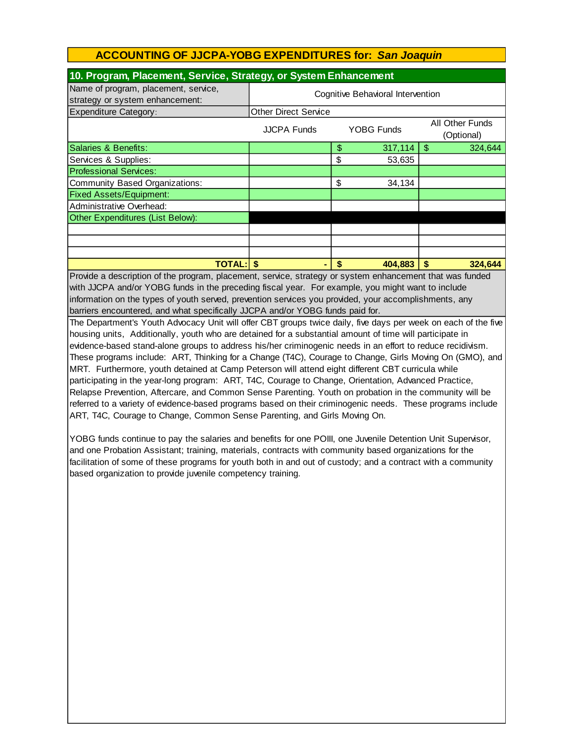| 10. Program, Placement, Service, Strategy, or System Enhancement                                     |                                   |     |                   |                               |         |  |
|------------------------------------------------------------------------------------------------------|-----------------------------------|-----|-------------------|-------------------------------|---------|--|
| Name of program, placement, service,<br>strategy or system enhancement:                              | Cognitive Behavioral Intervention |     |                   |                               |         |  |
| <b>Expenditure Category:</b>                                                                         | <b>Other Direct Service</b>       |     |                   |                               |         |  |
|                                                                                                      | <b>JJCPA Funds</b>                |     | <b>YOBG Funds</b> | All Other Funds<br>(Optional) |         |  |
| Salaries & Benefits:                                                                                 |                                   | \$  | 317,114           | \$.                           | 324,644 |  |
| Services & Supplies:                                                                                 |                                   | \$  | 53,635            |                               |         |  |
| <b>Professional Services:</b>                                                                        |                                   |     |                   |                               |         |  |
| Community Based Organizations:                                                                       |                                   | \$  | 34,134            |                               |         |  |
| <b>Fixed Assets/Equipment:</b>                                                                       |                                   |     |                   |                               |         |  |
| Administrative Overhead:                                                                             |                                   |     |                   |                               |         |  |
| Other Expenditures (List Below):                                                                     |                                   |     |                   |                               |         |  |
|                                                                                                      |                                   |     |                   |                               |         |  |
|                                                                                                      |                                   |     |                   |                               |         |  |
|                                                                                                      |                                   |     |                   |                               |         |  |
| <b>TOTAL:IS</b>                                                                                      |                                   | \$. | 404.883           | \$.                           | 324,644 |  |
| Provide a description of the program placement senice strategy or system ephancement that was funded |                                   |     |                   |                               |         |  |

Provide a description of the program, placement, service, strategy or system enhancement that was funded with JJCPA and/or YOBG funds in the preceding fiscal year. For example, you might want to include information on the types of youth served, prevention services you provided, your accomplishments, any barriers encountered, and what specifically JJCPA and/or YOBG funds paid for.

The Department's Youth Advocacy Unit will offer CBT groups twice daily, five days per week on each of the five housing units, Additionally, youth who are detained for a substantial amount of time will participate in evidence-based stand-alone groups to address his/her criminogenic needs in an effort to reduce recidivism. These programs include: ART, Thinking for a Change (T4C), Courage to Change, Girls Moving On (GMO), and MRT. Furthermore, youth detained at Camp Peterson will attend eight different CBT curricula while participating in the year-long program: ART, T4C, Courage to Change, Orientation, Advanced Practice, Relapse Prevention, Aftercare, and Common Sense Parenting. Youth on probation in the community will be referred to a variety of evidence-based programs based on their criminogenic needs. These programs include ART, T4C, Courage to Change, Common Sense Parenting, and Girls Moving On.

YOBG funds continue to pay the salaries and benefits for one POIII, one Juvenile Detention Unit Supervisor, and one Probation Assistant; training, materials, contracts with community based organizations for the facilitation of some of these programs for youth both in and out of custody; and a contract with a community based organization to provide juvenile competency training.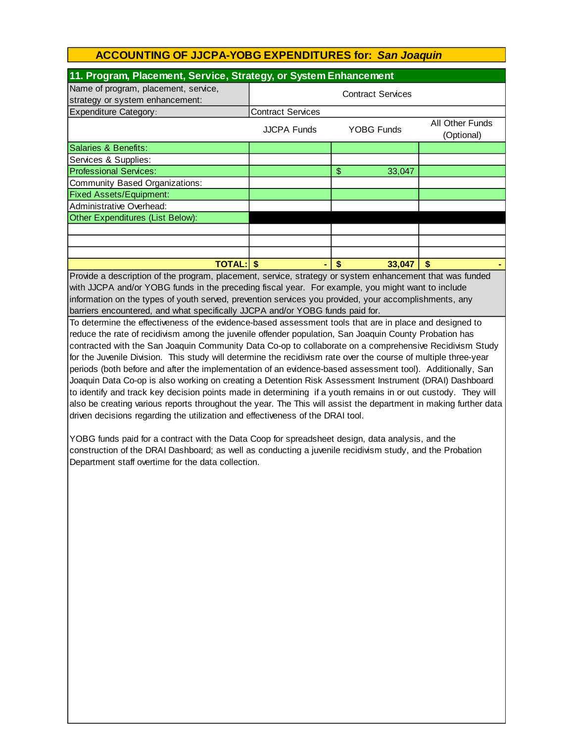| 11. Program, Placement, Service, Strategy, or System Enhancement                                                                                                                                                                                                                                                                             |                          |                          |                               |  |  |  |
|----------------------------------------------------------------------------------------------------------------------------------------------------------------------------------------------------------------------------------------------------------------------------------------------------------------------------------------------|--------------------------|--------------------------|-------------------------------|--|--|--|
| Name of program, placement, service,<br>strategy or system enhancement:                                                                                                                                                                                                                                                                      |                          | <b>Contract Services</b> |                               |  |  |  |
| Expenditure Category:                                                                                                                                                                                                                                                                                                                        | <b>Contract Services</b> |                          |                               |  |  |  |
|                                                                                                                                                                                                                                                                                                                                              | <b>JJCPA Funds</b>       | <b>YOBG Funds</b>        | All Other Funds<br>(Optional) |  |  |  |
| Salaries & Benefits:                                                                                                                                                                                                                                                                                                                         |                          |                          |                               |  |  |  |
| Services & Supplies:                                                                                                                                                                                                                                                                                                                         |                          |                          |                               |  |  |  |
| <b>Professional Services:</b>                                                                                                                                                                                                                                                                                                                |                          | \$<br>33,047             |                               |  |  |  |
| Community Based Organizations:                                                                                                                                                                                                                                                                                                               |                          |                          |                               |  |  |  |
| <b>Fixed Assets/Equipment:</b>                                                                                                                                                                                                                                                                                                               |                          |                          |                               |  |  |  |
| Administrative Overhead:                                                                                                                                                                                                                                                                                                                     |                          |                          |                               |  |  |  |
| Other Expenditures (List Below):                                                                                                                                                                                                                                                                                                             |                          |                          |                               |  |  |  |
|                                                                                                                                                                                                                                                                                                                                              |                          |                          |                               |  |  |  |
|                                                                                                                                                                                                                                                                                                                                              |                          |                          |                               |  |  |  |
|                                                                                                                                                                                                                                                                                                                                              |                          |                          |                               |  |  |  |
| <b>TOTAL: \$</b>                                                                                                                                                                                                                                                                                                                             |                          | 33,047<br>\$             |                               |  |  |  |
| Provide a description of the program, placement, service, strategy or system enhancement that was funded<br>$\mathbf{r}$ , and the set of the set of the set of the set of the set of the set of the set of the set of the set of the set of the set of the set of the set of the set of the set of the set of the set of the set of the set |                          |                          |                               |  |  |  |

with JJCPA and/or YOBG funds in the preceding fiscal year. For example, you might want to include information on the types of youth served, prevention services you provided, your accomplishments, any barriers encountered, and what specifically JJCPA and/or YOBG funds paid for.

To determine the effectiveness of the evidence-based assessment tools that are in place and designed to reduce the rate of recidivism among the juvenile offender population, San Joaquin County Probation has contracted with the San Joaquin Community Data Co-op to collaborate on a comprehensive Recidivism Study for the Juvenile Division. This study will determine the recidivism rate over the course of multiple three-year periods (both before and after the implementation of an evidence-based assessment tool). Additionally, San Joaquin Data Co-op is also working on creating a Detention Risk Assessment Instrument (DRAI) Dashboard to identify and track key decision points made in determining if a youth remains in or out custody. They will also be creating various reports throughout the year. The This will assist the department in making further data driven decisions regarding the utilization and effectiveness of the DRAI tool.

YOBG funds paid for a contract with the Data Coop for spreadsheet design, data analysis, and the construction of the DRAI Dashboard; as well as conducting a juvenile recidivism study, and the Probation Department staff overtime for the data collection.